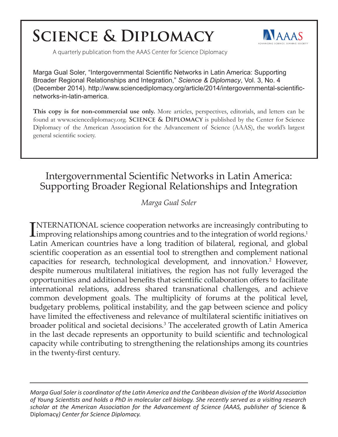# **SCIENCE & DIPLOMACY**



A quarterly publication from the AAAS Center for Science Diplomacy

Marga Gual Soler, "Intergovernmental Scientific Networks in Latin America: Supporting Broader Regional Relationships and Integration," *Science & Diplomacy*, Vol. 3, No. 4 (December 2014). http://www.sciencediplomacy.org/article/2014/intergovernmental-scientificnetworks-in-latin-america.

**This copy is for non-commercial use only.** More articles, perspectives, editorials, and letters can be found at www.sciencediplomacy.org. **Science & Diplomacy** is published by the Center for Science Diplomacy of the American Association for the Advancement of Science (AAAS), the world's largest general scientific society.

## Intergovernmental Scientific Networks in Latin America: Supporting Broader Regional Relationships and Integration

## *Marga Gual Soler*

INTERNATIONAL science cooperation networks are increasingly contributing to improving relationships among countries and to the integration of world regions.<sup>1</sup> NTERNATIONAL science cooperation networks are increasingly contributing to Latin American countries have a long tradition of bilateral, regional, and global scientific cooperation as an essential tool to strengthen and complement national capacities for research, technological development, and innovation.<sup>2</sup> However, despite numerous multilateral initiatives, the region has not fully leveraged the opportunities and additional benefits that scientific collaboration offers to facilitate international relations, address shared transnational challenges, and achieve common development goals. The multiplicity of forums at the political level, budgetary problems, political instability, and the gap between science and policy have limited the effectiveness and relevance of multilateral scientific initiatives on broader political and societal decisions.<sup>3</sup> The accelerated growth of Latin America in the last decade represents an opportunity to build scientific and technological capacity while contributing to strengthening the relationships among its countries in the twenty-first century.

*Marga Gual Soler is coordinator of the Latin America and the Caribbean division of the World Association of Young Scientists and holds a PhD in molecular cell biology. She recently served as a visiting research scholar at the American Association for the Advancement of Science (AAAS, publisher of* Science & Diplomacy*) Center for Science Diplomacy.*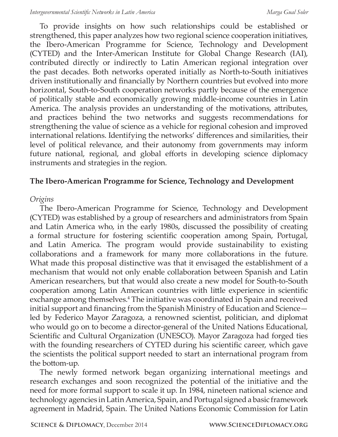To provide insights on how such relationships could be established or strengthened, this paper analyzes how two regional science cooperation initiatives, the Ibero-American Programme for Science, Technology and Development (CYTED) and the Inter-American Institute for Global Change Research (IAI), contributed directly or indirectly to Latin American regional integration over the past decades. Both networks operated initially as North-to-South initiatives driven institutionally and financially by Northern countries but evolved into more horizontal, South-to-South cooperation networks partly because of the emergence of politically stable and economically growing middle-income countries in Latin America. The analysis provides an understanding of the motivations, attributes, and practices behind the two networks and suggests recommendations for strengthening the value of science as a vehicle for regional cohesion and improved international relations. Identifying the networks' differences and similarities, their level of political relevance, and their autonomy from governments may inform future national, regional, and global efforts in developing science diplomacy instruments and strategies in the region.

### **The Ibero-American Programme for Science, Technology and Development**

### *Origins*

The Ibero-American Programme for Science, Technology and Development (CYTED) was established by a group of researchers and administrators from Spain and Latin America who, in the early 1980s, discussed the possibility of creating a formal structure for fostering scientific cooperation among Spain, Portugal, and Latin America. The program would provide sustainability to existing collaborations and a framework for many more collaborations in the future. What made this proposal distinctive was that it envisaged the establishment of a mechanism that would not only enable collaboration between Spanish and Latin American researchers, but that would also create a new model for South-to-South cooperation among Latin American countries with little experience in scientific exchange among themselves.<sup>4</sup> The initiative was coordinated in Spain and received initial support and financing from the Spanish Ministry of Education and Science led by Federico Mayor Zaragoza, a renowned scientist, politician, and diplomat who would go on to become a director-general of the United Nations Educational, Scientific and Cultural Organization (UNESCO). Mayor Zaragoza had forged ties with the founding researchers of CYTED during his scientific career, which gave the scientists the political support needed to start an international program from the bottom-up.

The newly formed network began organizing international meetings and research exchanges and soon recognized the potential of the initiative and the need for more formal support to scale it up. In 1984, nineteen national science and technology agencies in Latin America, Spain, and Portugal signed a basic framework agreement in Madrid, Spain. The United Nations Economic Commission for Latin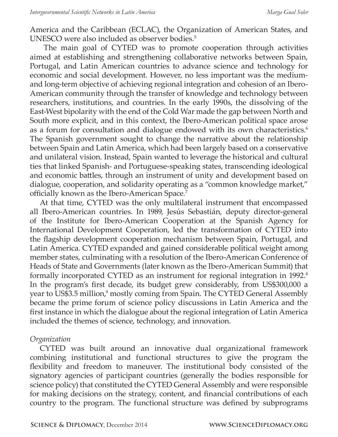America and the Caribbean (ECLAC), the Organization of American States, and UNESCO were also included as observer bodies.<sup>5</sup>

 The main goal of CYTED was to promote cooperation through activities aimed at establishing and strengthening collaborative networks between Spain, Portugal, and Latin American countries to advance science and technology for economic and social development. However, no less important was the mediumand long-term objective of achieving regional integration and cohesion of an Ibero-American community through the transfer of knowledge and technology between researchers, institutions, and countries. In the early 1990s, the dissolving of the East-West bipolarity with the end of the Cold War made the gap between North and South more explicit, and in this context, the Ibero-American political space arose as a forum for consultation and dialogue endowed with its own characteristics.<sup>6</sup> The Spanish government sought to change the narrative about the relationship between Spain and Latin America, which had been largely based on a conservative and unilateral vision. Instead, Spain wanted to leverage the historical and cultural ties that linked Spanish- and Portuguese-speaking states, transcending ideological and economic battles, through an instrument of unity and development based on dialogue, cooperation, and solidarity operating as a "common knowledge market," officially known as the Ibero-American Space*.* 7

At that time, CYTED was the only multilateral instrument that encompassed all Ibero-American countries. In 1989, Jesús Sebastián, deputy director-general of the Institute for Ibero-American Cooperation at the Spanish Agency for International Development Cooperation, led the transformation of CYTED into the flagship development cooperation mechanism between Spain, Portugal, and Latin America. CYTED expanded and gained considerable political weight among member states, culminating with a resolution of the Ibero-American Conference of Heads of State and Governments (later known as the Ibero-American Summit) that formally incorporated CYTED as an instrument for regional integration in 1992.<sup>8</sup> In the program's first decade, its budget grew considerably, from US\$300,000 a year to US\$3.5 million,<sup>9</sup> mostly coming from Spain. The CYTED General Assembly became the prime forum of science policy discussions in Latin America and the first instance in which the dialogue about the regional integration of Latin America included the themes of science, technology, and innovation.

#### *Organization*

CYTED was built around an innovative dual organizational framework combining institutional and functional structures to give the program the flexibility and freedom to maneuver. The institutional body consisted of the signatory agencies of participant countries (generally the bodies responsible for science policy) that constituted the CYTED General Assembly and were responsible for making decisions on the strategy, content, and financial contributions of each country to the program. The functional structure was defined by subprograms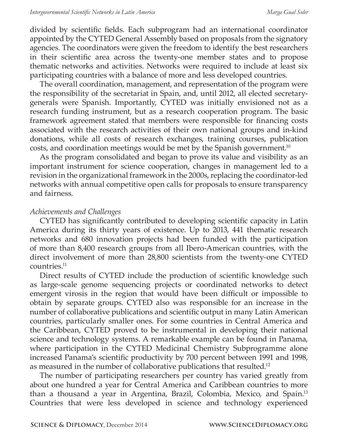divided by scientific fields. Each subprogram had an international coordinator appointed by the CYTED General Assembly based on proposals from the signatory agencies. The coordinators were given the freedom to identify the best researchers in their scientific area across the twenty-one member states and to propose thematic networks and activities. Networks were required to include at least six participating countries with a balance of more and less developed countries.

The overall coordination, management, and representation of the program were the responsibility of the secretariat in Spain, and, until 2012, all elected secretarygenerals were Spanish. Importantly, CYTED was initially envisioned not as a research funding instrument, but as a research cooperation program. The basic framework agreement stated that members were responsible for financing costs associated with the research activities of their own national groups and in-kind donations, while all costs of research exchanges, training courses, publication costs, and coordination meetings would be met by the Spanish government.<sup>10</sup>

As the program consolidated and began to prove its value and visibility as an important instrument for science cooperation, changes in management led to a revision in the organizational framework in the 2000s, replacing the coordinator-led networks with annual competitive open calls for proposals to ensure transparency and fairness.

#### *Achievements and Challenges*

CYTED has significantly contributed to developing scientific capacity in Latin America during its thirty years of existence. Up to 2013, 441 thematic research networks and 680 innovation projects had been funded with the participation of more than 8,400 research groups from all Ibero-American countries, with the direct involvement of more than 28,800 scientists from the twenty-one CYTED countries.<sup>11</sup>

Direct results of CYTED include the production of scientific knowledge such as large-scale genome sequencing projects or coordinated networks to detect emergent virosis in the region that would have been difficult or impossible to obtain by separate groups. CYTED also was responsible for an increase in the number of collaborative publications and scientific output in many Latin American countries, particularly smaller ones. For some countries in Central America and the Caribbean, CYTED proved to be instrumental in developing their national science and technology systems. A remarkable example can be found in Panama, where participation in the CYTED Medicinal Chemistry Subprogramme alone increased Panama's scientific productivity by 700 percent between 1991 and 1998, as measured in the number of collaborative publications that resulted.<sup>12</sup>

The number of participating researchers per country has varied greatly from about one hundred a year for Central America and Caribbean countries to more than a thousand a year in Argentina, Brazil, Colombia, Mexico, and Spain.<sup>13</sup> Countries that were less developed in science and technology experienced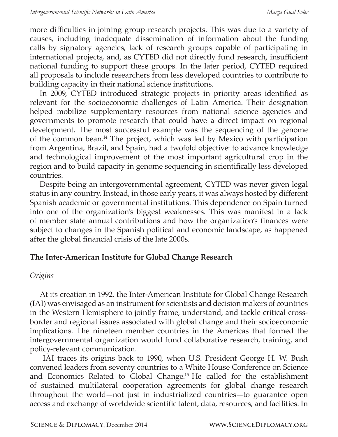more difficulties in joining group research projects. This was due to a variety of causes, including inadequate dissemination of information about the funding calls by signatory agencies, lack of research groups capable of participating in international projects, and, as CYTED did not directly fund research, insufficient national funding to support these groups. In the later period, CYTED required all proposals to include researchers from less developed countries to contribute to building capacity in their national science institutions.

In 2009, CYTED introduced strategic projects in priority areas identified as relevant for the socioeconomic challenges of Latin America. Their designation helped mobilize supplementary resources from national science agencies and governments to promote research that could have a direct impact on regional development. The most successful example was the sequencing of the genome of the common bean.<sup>14</sup> The project, which was led by Mexico with participation from Argentina, Brazil, and Spain, had a twofold objective: to advance knowledge and technological improvement of the most important agricultural crop in the region and to build capacity in genome sequencing in scientifically less developed countries.

Despite being an intergovernmental agreement, CYTED was never given legal status in any country. Instead, in those early years, it was always hosted by different Spanish academic or governmental institutions. This dependence on Spain turned into one of the organization's biggest weaknesses. This was manifest in a lack of member state annual contributions and how the organization's finances were subject to changes in the Spanish political and economic landscape, as happened after the global financial crisis of the late 2000s.

### **The Inter-American Institute for Global Change Research**

#### *Origins*

At its creation in 1992, the Inter-American Institute for Global Change Research (IAI) was envisaged as an instrument for scientists and decision makers of countries in the Western Hemisphere to jointly frame, understand, and tackle critical crossborder and regional issues associated with global change and their socioeconomic implications. The nineteen member countries in the Americas that formed the intergovernmental organization would fund collaborative research, training, and policy-relevant communication.

 IAI traces its origins back to 1990, when U.S. President George H. W. Bush convened leaders from seventy countries to a White House Conference on Science and Economics Related to Global Change.<sup>15</sup> He called for the establishment of sustained multilateral cooperation agreements for global change research throughout the world—not just in industrialized countries—to guarantee open access and exchange of worldwide scientific talent, data, resources, and facilities. In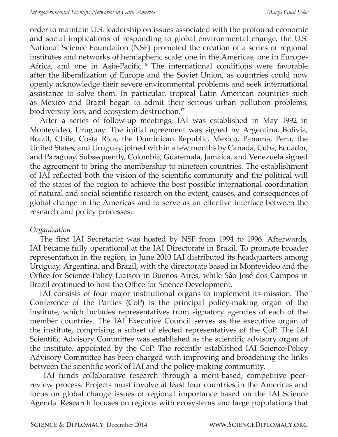order to maintain U.S. leadership on issues associated with the profound economic and social implications of responding to global environmental change, the U.S. National Science Foundation (NSF) promoted the creation of a series of regional institutes and networks of hemispheric scale: one in the Americas, one in Europe-Africa, and one in Asia-Pacific.<sup>16</sup> The international conditions were favorable after the liberalization of Europe and the Soviet Union, as countries could now openly acknowledge their severe environmental problems and seek international assistance to solve them. In particular, tropical Latin American countries such as Mexico and Brazil began to admit their serious urban pollution problems, biodiversity loss, and ecosystem destruction.<sup>17</sup>

After a series of follow-up meetings, IAI was established in May 1992 in Montevideo, Uruguay. The initial agreement was signed by Argentina, Bolivia, Brazil, Chile, Costa Rica, the Dominican Republic, Mexico, Panama, Peru, the United States, and Uruguay, joined within a few months by Canada, Cuba, Ecuador, and Paraguay. Subsequently, Colombia, Guatemala, Jamaica, and Venezuela signed the agreement to bring the membership to nineteen countries. The establishment of IAI reflected both the vision of the scientific community and the political will of the states of the region to achieve the best possible international coordination of natural and social scientific research on the extent, causes, and consequences of global change in the Americas and to serve as an effective interface between the research and policy processes.

### *Organization*

The first IAI Secretariat was hosted by NSF from 1994 to 1996. Afterwards, IAI became fully operational at the IAI Directorate in Brazil. To promote broader representation in the region, in June 2010 IAI distributed its headquarters among Uruguay, Argentina, and Brazil, with the directorate based in Montevideo and the Office for Science-Policy Liaison in Buenos Aires, while Sâo José dos Campos in Brazil continued to host the Office for Science Development.

IAI consists of four major institutional organs to implement its mission. The Conference of the Parties (CoP) is the principal policy-making organ of the institute, which includes representatives from signatory agencies of each of the member countries. The IAI Executive Council serves as the executive organ of the institute, comprising a subset of elected representatives of the CoP. The IAI Scientific Advisory Committee was established as the scientific advisory organ of the institute, appointed by the CoP. The recently established IAI Science-Policy Advisory Committee has been charged with improving and broadening the links between the scientific work of IAI and the policy-making community.

 IAI funds collaborative research through a merit-based, competitive peerreview process. Projects must involve at least four countries in the Americas and focus on global change issues of regional importance based on the IAI Science Agenda. Research focuses on regions with ecosystems and large populations that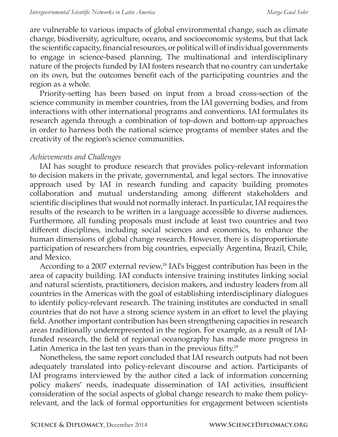are vulnerable to various impacts of global environmental change, such as climate change, biodiversity, agriculture, oceans, and socioeconomic systems, but that lack the scientific capacity, financial resources, or political will of individual governments to engage in science-based planning. The multinational and interdisciplinary nature of the projects funded by IAI fosters research that no country can undertake on its own, but the outcomes benefit each of the participating countries and the region as a whole.

Priority-setting has been based on input from a broad cross-section of the science community in member countries, from the IAI governing bodies, and from interactions with other international programs and conventions. IAI formulates its research agenda through a combination of top-down and bottom-up approaches in order to harness both the national science programs of member states and the creativity of the region's science communities.

#### *Achievements and Challenges*

IAI has sought to produce research that provides policy-relevant information to decision makers in the private, governmental, and legal sectors. The innovative approach used by IAI in research funding and capacity building promotes collaboration and mutual understanding among different stakeholders and scientific disciplines that would not normally interact. In particular, IAI requires the results of the research to be written in a language accessible to diverse audiences. Furthermore, all funding proposals must include at least two countries and two different disciplines, including social sciences and economics, to enhance the human dimensions of global change research. However, there is disproportionate participation of researchers from big countries, especially Argentina, Brazil, Chile, and Mexico.

According to a 2007 external review,<sup>18</sup> IAI's biggest contribution has been in the area of capacity building. IAI conducts intensive training institutes linking social and natural scientists, practitioners, decision makers, and industry leaders from all countries in the Americas with the goal of establishing interdisciplinary dialogues to identify policy-relevant research. The training institutes are conducted in small countries that do not have a strong science system in an effort to level the playing field. Another important contribution has been strengthening capacities in research areas traditionally underrepresented in the region. For example, as a result of IAIfunded research, the field of regional oceanography has made more progress in Latin America in the last ten years than in the previous fifty.<sup>19</sup>

Nonetheless, the same report concluded that IAI research outputs had not been adequately translated into policy-relevant discourse and action. Participants of IAI programs interviewed by the author cited a lack of information concerning policy makers' needs, inadequate dissemination of IAI activities, insufficient consideration of the social aspects of global change research to make them policyrelevant, and the lack of formal opportunities for engagement between scientists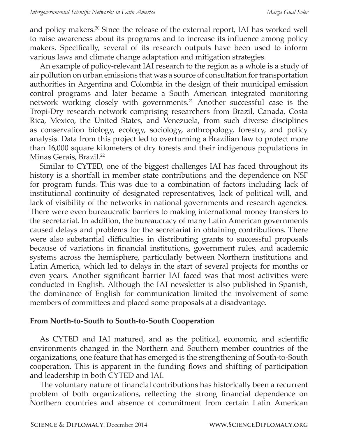and policy makers.20 Since the release of the external report, IAI has worked well to raise awareness about its programs and to increase its influence among policy makers. Specifically, several of its research outputs have been used to inform various laws and climate change adaptation and mitigation strategies.

An example of policy-relevant IAI research to the region as a whole is a study of air pollution on urban emissions that was a source of consultation for transportation authorities in Argentina and Colombia in the design of their municipal emission control programs and later became a South American integrated monitoring network working closely with governments.<sup>21</sup> Another successful case is the Tropi-Dry research network comprising researchers from Brazil, Canada, Costa Rica, Mexico, the United States, and Venezuela, from such diverse disciplines as conservation biology, ecology, sociology, anthropology, forestry, and policy analysis. Data from this project led to overturning a Brazilian law to protect more than 16,000 square kilometers of dry forests and their indigenous populations in Minas Gerais, Brazil.<sup>22</sup>

Similar to CYTED, one of the biggest challenges IAI has faced throughout its history is a shortfall in member state contributions and the dependence on NSF for program funds. This was due to a combination of factors including lack of institutional continuity of designated representatives, lack of political will, and lack of visibility of the networks in national governments and research agencies. There were even bureaucratic barriers to making international money transfers to the secretariat. In addition, the bureaucracy of many Latin American governments caused delays and problems for the secretariat in obtaining contributions. There were also substantial difficulties in distributing grants to successful proposals because of variations in financial institutions, government rules, and academic systems across the hemisphere, particularly between Northern institutions and Latin America, which led to delays in the start of several projects for months or even years. Another significant barrier IAI faced was that most activities were conducted in English. Although the IAI newsletter is also published in Spanish, the dominance of English for communication limited the involvement of some members of committees and placed some proposals at a disadvantage.

### **From North-to-South to South-to-South Cooperation**

As CYTED and IAI matured, and as the political, economic, and scientific environments changed in the Northern and Southern member countries of the organizations, one feature that has emerged is the strengthening of South-to-South cooperation. This is apparent in the funding flows and shifting of participation and leadership in both CYTED and IAI.

The voluntary nature of financial contributions has historically been a recurrent problem of both organizations, reflecting the strong financial dependence on Northern countries and absence of commitment from certain Latin American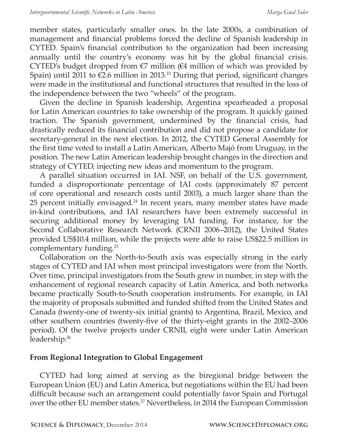member states, particularly smaller ones. In the late 2000s, a combination of management and financial problems forced the decline of Spanish leadership in CYTED. Spain's financial contribution to the organization had been increasing annually until the country's economy was hit by the global financial crisis. CYTED's budget dropped from  $\epsilon$ 7 million ( $\epsilon$ 4 million of which was provided by Spain) until 2011 to  $\epsilon$ 2.6 million in 2013.<sup>23</sup> During that period, significant changes were made in the institutional and functional structures that resulted in the loss of the independence between the two "wheels" of the program.

Given the decline in Spanish leadership, Argentina spearheaded a proposal for Latin American countries to take ownership of the program. It quickly gained traction. The Spanish government, undermined by the financial crisis, had drastically reduced its financial contribution and did not propose a candidate for secretary-general in the next election. In 2012, the CYTED General Assembly for the first time voted to install a Latin American, Alberto Majó from Uruguay, in the position. The new Latin American leadership brought changes in the direction and strategy of CYTED, injecting new ideas and momentum to the program.

A parallel situation occurred in IAI. NSF, on behalf of the U.S. government, funded a disproportionate percentage of IAI costs (approximately 87 percent of core operational and research costs until 2003), a much larger share than the 25 percent initially envisaged.<sup>24</sup> In recent years, many member states have made in-kind contributions, and IAI researchers have been extremely successful in securing additional money by leveraging IAI funding. For instance, for the Second Collaborative Research Network (CRNII 2006–2012), the United States provided US\$10.4 million, while the projects were able to raise US\$22.5 million in complementary funding.<sup>25</sup>

Collaboration on the North-to-South axis was especially strong in the early stages of CYTED and IAI when most principal investigators were from the North. Over time, principal investigators from the South grew in number, in step with the enhancement of regional research capacity of Latin America, and both networks became practically South-to-South cooperation instruments. For example, in IAI the majority of proposals submitted and funded shifted from the United States and Canada (twenty-one of twenty-six initial grants) to Argentina, Brazil, Mexico, and other southern countries (twenty-five of the thirty-eight grants in the 2002–2006 period). Of the twelve projects under CRNII, eight were under Latin American leadership.<sup>26</sup>

#### **From Regional Integration to Global Engagement**

CYTED had long aimed at serving as the biregional bridge between the European Union (EU) and Latin America, but negotiations within the EU had been difficult because such an arrangement could potentially favor Spain and Portugal over the other EU member states.<sup>27</sup> Nevertheless, in 2014 the European Commission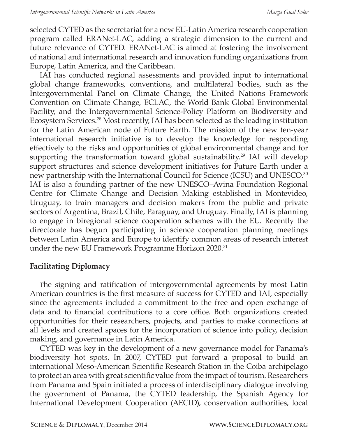selected CYTED as the secretariat for a new EU-Latin America research cooperation program called ERANet-LAC, adding a strategic dimension to the current and future relevance of CYTED. ERANet-LAC is aimed at fostering the involvement of national and international research and innovation funding organizations from Europe, Latin America, and the Caribbean.

IAI has conducted regional assessments and provided input to international global change frameworks, conventions, and multilateral bodies, such as the Intergovernmental Panel on Climate Change, the United Nations Framework Convention on Climate Change, ECLAC, the World Bank Global Environmental Facility, and the Intergovernmental Science-Policy Platform on Biodiversity and Ecosystem Services.28 Most recently, IAI has been selected as the leading institution for the Latin American node of Future Earth. The mission of the new ten-year international research initiative is to develop the knowledge for responding effectively to the risks and opportunities of global environmental change and for supporting the transformation toward global sustainability.<sup>29</sup> IAI will develop support structures and science development initiatives for Future Earth under a new partnership with the International Council for Science (ICSU) and UNESCO.30 IAI is also a founding partner of the new UNESCO–Avina Foundation Regional Centre for Climate Change and Decision Making established in Montevideo, Uruguay, to train managers and decision makers from the public and private sectors of Argentina, Brazil, Chile, Paraguay, and Uruguay. Finally, IAI is planning to engage in biregional science cooperation schemes with the EU. Recently the directorate has begun participating in science cooperation planning meetings between Latin America and Europe to identify common areas of research interest under the new EU Framework Programme Horizon 2020.<sup>31</sup>

### **Facilitating Diplomacy**

The signing and ratification of intergovernmental agreements by most Latin American countries is the first measure of success for CYTED and IAI, especially since the agreements included a commitment to the free and open exchange of data and to financial contributions to a core office. Both organizations created opportunities for their researchers, projects, and parties to make connections at all levels and created spaces for the incorporation of science into policy, decision making, and governance in Latin America.

CYTED was key in the development of a new governance model for Panama's biodiversity hot spots. In 2007, CYTED put forward a proposal to build an international Meso-American Scientific Research Station in the Coiba archipelago to protect an area with great scientific value from the impact of tourism. Researchers from Panama and Spain initiated a process of interdisciplinary dialogue involving the government of Panama, the CYTED leadership, the Spanish Agency for International Development Cooperation (AECID), conservation authorities, local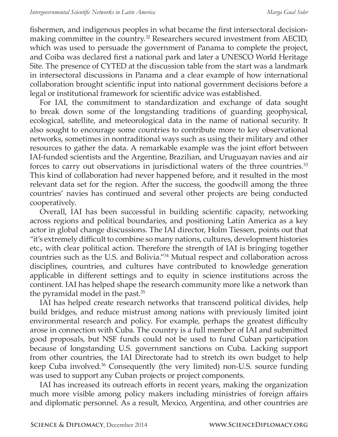fishermen, and indigenous peoples in what became the first intersectoral decisionmaking committee in the country.<sup>32</sup> Researchers secured investment from AECID, which was used to persuade the government of Panama to complete the project, and Coiba was declared first a national park and later a UNESCO World Heritage Site. The presence of CYTED at the discussion table from the start was a landmark in intersectoral discussions in Panama and a clear example of how international collaboration brought scientific input into national government decisions before a legal or institutional framework for scientific advice was established.

For IAI, the commitment to standardization and exchange of data sought to break down some of the longstanding traditions of guarding geophysical, ecological, satellite, and meteorological data in the name of national security. It also sought to encourage some countries to contribute more to key observational networks, sometimes in nontraditional ways such as using their military and other resources to gather the data. A remarkable example was the joint effort between IAI-funded scientists and the Argentine, Brazilian, and Uruguayan navies and air forces to carry out observations in jurisdictional waters of the three countries.<sup>33</sup> This kind of collaboration had never happened before, and it resulted in the most relevant data set for the region. After the success, the goodwill among the three countries' navies has continued and several other projects are being conducted cooperatively.

Overall, IAI has been successful in building scientific capacity, networking across regions and political boundaries, and positioning Latin America as a key actor in global change discussions. The IAI director, Holm Tiessen, points out that "it's extremely difficult to combine so many nations, cultures, development histories etc., with clear political action. Therefore the strength of IAI is bringing together countries such as the U.S. and Bolivia."<sup>34</sup> Mutual respect and collaboration across disciplines, countries, and cultures have contributed to knowledge generation applicable in different settings and to equity in science institutions across the continent. IAI has helped shape the research community more like a network than the pyramidal model in the past.<sup>35</sup>

IAI has helped create research networks that transcend political divides, help build bridges, and reduce mistrust among nations with previously limited joint environmental research and policy. For example, perhaps the greatest difficulty arose in connection with Cuba. The country is a full member of IAI and submitted good proposals, but NSF funds could not be used to fund Cuban participation because of longstanding U.S. government sanctions on Cuba. Lacking support from other countries, the IAI Directorate had to stretch its own budget to help keep Cuba involved.<sup>36</sup> Consequently (the very limited) non-U.S. source funding was used to support any Cuban projects or project components.

IAI has increased its outreach efforts in recent years, making the organization much more visible among policy makers including ministries of foreign affairs and diplomatic personnel. As a result, Mexico, Argentina, and other countries are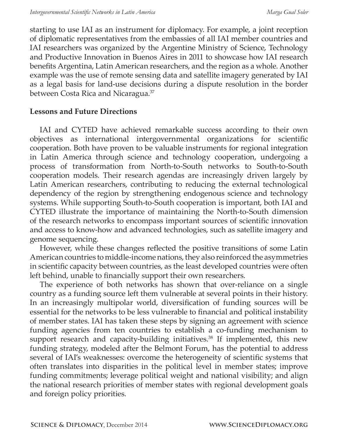starting to use IAI as an instrument for diplomacy. For example, a joint reception of diplomatic representatives from the embassies of all IAI member countries and IAI researchers was organized by the Argentine Ministry of Science, Technology and Productive Innovation in Buenos Aires in 2011 to showcase how IAI research benefits Argentina, Latin American researchers, and the region as a whole. Another example was the use of remote sensing data and satellite imagery generated by IAI as a legal basis for land-use decisions during a dispute resolution in the border between Costa Rica and Nicaragua.<sup>37</sup>

#### **Lessons and Future Directions**

IAI and CYTED have achieved remarkable success according to their own objectives as international intergovernmental organizations for scientific cooperation. Both have proven to be valuable instruments for regional integration in Latin America through science and technology cooperation, undergoing a process of transformation from North-to-South networks to South-to-South cooperation models. Their research agendas are increasingly driven largely by Latin American researchers, contributing to reducing the external technological dependency of the region by strengthening endogenous science and technology systems. While supporting South-to-South cooperation is important, both IAI and CYTED illustrate the importance of maintaining the North-to-South dimension of the research networks to encompass important sources of scientific innovation and access to know-how and advanced technologies, such as satellite imagery and genome sequencing.

However, while these changes reflected the positive transitions of some Latin American countries to middle-income nations, they also reinforced the asymmetries in scientific capacity between countries, as the least developed countries were often left behind, unable to financially support their own researchers.

The experience of both networks has shown that over-reliance on a single country as a funding source left them vulnerable at several points in their history. In an increasingly multipolar world, diversification of funding sources will be essential for the networks to be less vulnerable to financial and political instability of member states. IAI has taken these steps by signing an agreement with science funding agencies from ten countries to establish a co-funding mechanism to support research and capacity-building initiatives.<sup>38</sup> If implemented, this new funding strategy, modeled after the Belmont Forum, has the potential to address several of IAI's weaknesses: overcome the heterogeneity of scientific systems that often translates into disparities in the political level in member states; improve funding commitments; leverage political weight and national visibility; and align the national research priorities of member states with regional development goals and foreign policy priorities.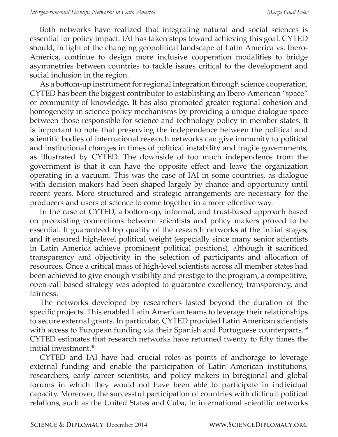Both networks have realized that integrating natural and social sciences is essential for policy impact. IAI has taken steps toward achieving this goal. CYTED should, in light of the changing geopolitical landscape of Latin America vs. Ibero-America, continue to design more inclusive cooperation modalities to bridge asymmetries between countries to tackle issues critical to the development and social inclusion in the region.

As a bottom-up instrument for regional integration through science cooperation, CYTED has been the biggest contributor to establishing an Ibero-American "space" or community of knowledge. It has also promoted greater regional cohesion and homogeneity in science policy mechanisms by providing a unique dialogue space between those responsible for science and technology policy in member states. It is important to note that preserving the independence between the political and scientific bodies of international research networks can give immunity to political and institutional changes in times of political instability and fragile governments, as illustrated by CYTED. The downside of too much independence from the government is that it can have the opposite effect and leave the organization operating in a vacuum. This was the case of IAI in some countries, as dialogue with decision makers had been shaped largely by chance and opportunity until recent years. More structured and strategic arrangements are necessary for the producers and users of science to come together in a more effective way.

In the case of CYTED, a bottom-up, informal, and trust-based approach based on preexisting connections between scientists and policy makers proved to be essential. It guaranteed top quality of the research networks at the initial stages, and it ensured high-level political weight (especially since many senior scientists in Latin America achieve prominent political positions), although it sacrificed transparency and objectivity in the selection of participants and allocation of resources. Once a critical mass of high-level scientists across all member states had been achieved to give enough visibility and prestige to the program, a competitive, open-call based strategy was adopted to guarantee excellency, transparency, and fairness.

The networks developed by researchers lasted beyond the duration of the specific projects. This enabled Latin American teams to leverage their relationships to secure external grants. In particular, CYTED provided Latin American scientists with access to European funding via their Spanish and Portuguese counterparts.<sup>39</sup> CYTED estimates that research networks have returned twenty to fifty times the initial investment.40

CYTED and IAI have had crucial roles as points of anchorage to leverage external funding and enable the participation of Latin American institutions, researchers, early career scientists, and policy makers in biregional and global forums in which they would not have been able to participate in individual capacity. Moreover, the successful participation of countries with difficult political relations, such as the United States and Cuba, in international scientific networks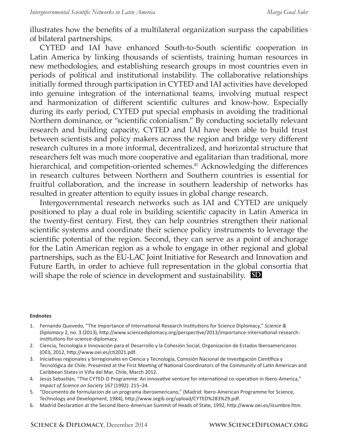illustrates how the benefits of a multilateral organization surpass the capabilities of bilateral partnerships.

CYTED and IAI have enhanced South-to-South scientific cooperation in Latin America by linking thousands of scientists, training human resources in new methodologies, and establishing research groups in most countries even in periods of political and institutional instability. The collaborative relationships initially formed through participation in CYTED and IAI activities have developed into genuine integration of the international teams, involving mutual respect and harmonization of different scientific cultures and know-how. Especially during its early period, CYTED put special emphasis in avoiding the traditional Northern dominance, or "scientific colonialism." By conducting societally relevant research and building capacity, CYTED and IAI have been able to build trust between scientists and policy makers across the region and bridge very different research cultures in a more informal, decentralized, and horizontal structure that researchers felt was much more cooperative and egalitarian than traditional, more hierarchical, and competition-oriented schemes.<sup>41</sup> Acknowledging the differences in research cultures between Northern and Southern countries is essential for fruitful collaboration, and the increase in southern leadership of networks has resulted in greater attention to equity issues in global change research.

Intergovernmental research networks such as IAI and CYTED are uniquely positioned to play a dual role in building scientific capacity in Latin America in the twenty-first century. First, they can help countries strengthen their national scientific systems and coordinate their science policy instruments to leverage the scientific potential of the region. Second, they can serve as a point of anchorage for the Latin American region as a whole to engage in other regional and global partnerships, such as the EU-LAC Joint Initiative for Research and Innovation and Future Earth, in order to achieve full representation in the global consortia that will shape the role of science in development and sustainability. **SD**

#### **Endnotes**

- 1. Fernando Quevedo, "The Importance of International Research Institutions for Science Diplomacy," *Science & Diplomacy* 2, no. 3 (2013), http://www.sciencediplomacy.org/perspective/2013/importance-international-researchinstitutions-for-science-diplomacy.
- 2. Ciencia, Tecnología e Innovación para el Desarrollo y la Cohesión Social, Organizacion de Estados Iberoamericanos (OEI), 2012, http://www.oei.es/cti2021.pdf.
- 3. Iniciativas regionales y birregionales en Ciencia y Tecnología, Comisión Nacional de Investigación Científica y Tecnológica de Chile. Presented at the First Meeting of National Coordinators of the Community of Latin American and Caribbean States in Viña del Mar, Chile, March 2012.
- 4. Jesús Sebastián, "The CYTED-D Programme: An innovative venture for international co-operation in Ibero-America," *Impact of Science on Society* 167 (1992): 215–24.
- 5. "Documento de formulacion de un programa iberoamericano," (Madrid: Ibero-American Programme for Science, Technology and Development, 1984), http://www.segib.org/upload/CYTED%283%29.pdf.
- 6. Madrid Declaration at the Second Ibero-American Summit of Heads of State, 1992, http://www.oei.es/iicumbre.htm.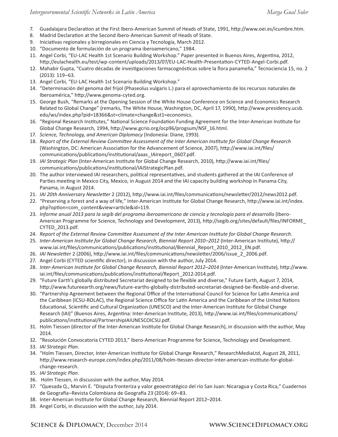- 7. Guadalajara Declaration at the First Ibero-American Summit of Heads of State, 1991, http://www.oei.es/icumbre.htm.
- 8. Madrid Declaration at the Second Ibero-American Summit of Heads of State.
- 9. Iniciativas regionales y birregionales en Ciencia y Tecnología, March 2012.
- 10. "Documento de formulación de un programa iberoamericano," 1984.
- 11. Angel Corbi, "EU-LAC Health 1st Scenario Building Workshop." Paper presented in Buenos Aires, Argentina, 2012, http://eulachealth.eu/test/wp-content/uploads/2013/07/EU-LAC-Health-Presentation-CYTED-Angel-Corbi.pdf.
- 12. Mahabir Gupta, "Cuatro décadas de investigaciones farmacognósticas sobre la flora panameña," Tecnociencia 15, no. 2 (2013): 119–63.
- 13. Angel Corbi, "EU-LAC Health 1st Scenario Building Workshop."
- 14. "Determinación del genoma del frijol (Phaseolus vulgaris L.) para el aprovechamiento de los recursos naturales de Iberoamérica," http://www.genoma-cyted.org.
- 15. George Bush, "Remarks at the Opening Session of the White House Conference on Science and Economics Research Related to Global Change" (remarks, The White House, Washington, DC, April 17, 1990), http://www.presidency.ucsb. edu/ws/index.php?pid=18366&st=climate+change&st1=economics.
- 16. "Regional Research Institutes," National Science Foundation Funding Agreement for the Inter-American Institute for Global Change Research, 1994, http://www.gcrio.org/ocp96/progsum/NSF\_16.html.
- 17. *Science, Technology, and American Diplomacy* (Indonesia: Diane, 1993).
- 18. *Report of the External Review Committee Assessment of the Inter American Institute for Global Change Research*  (Washington, DC: American Association for the Advancement of Science, 2007), http://www.iai.int/files/ communications/publications/institutional/aaas\_IAIreport\_0607.pdf.
- 19. *IAI Strategic Plan* (Inter-American Institute for Global Change Research, 2010), http://www.iai.int/files/ communications/publications/institutional/IAIStrategicPlan.pdf.
- 20. The author interviewed IAI researchers, political representatives, and students gathered at the IAI Conference of Parties meeting in Mexico City, Mexico, in August 2014 and the IAI capacity building workshop in Panama City, Panama, in August 2014.
- 21. *IAI 20th Anniversary Newsletter* 2 (2012), http://www.iai.int/files/communications/newsletter/2012/news2012.pdf.
- 22. "Preserving a forest and a way of life," Inter-American Institute for Global Change Research, http://www.iai.int/index. php?option=com\_content&view=article&id=119.
- 23. *Informe anual 2013 para la segib del programa iberoamericano de ciencia y tecnología para el desarrollo* (Ibero-American Programme for Science, Technology and Development, 2013), http://segib.org/sites/default/files/INFORME\_ CYTED\_2013.pdf.
- 24. *Report of the External Review Committee Assessment of the Inter American Institute for Global Change Research*.
- 25. *Inter-American Institute for Global Change Research, Biennial Report 2010–2012* (Inter-American Institute), http:// www.iai.int/files/communications/publications/institutional/Biennial\_Report\_2010\_2012\_EN.pdf.
- 26. *IAI Newslette*r 2 (2006), http://www.iai.int/files/communications/newsletter/2006/issue\_2\_2006.pdf.
- 27. Angel Corbi (CYTED scientific director), in discussion with the author, July 2014.
- 28. *Inter-American Institute for Global Change Research, Biennial Report 2012–2014* (Inter-American Institute), http://www. iai.int/files/communications/publications/institutional/Report\_2012-2014.pdf.
- 29. "Future Earth's globally distributed Secretariat designed to be flexible and diverse," Future Earth, August 7, 2014, http://www.futureearth.org/news/future-earths-globally-distributed-secretariat-designed-be-flexible-and-diverse.
- 30. "Partnership Agreement between the Regional Office of the International Council for Science for Latin America and the Caribbean (ICSU-ROLAC), the Regional Science Office for Latin America and the Caribbean of the United Nations Educational, Scientific and Cultural Organization (UNESCO) and the Inter-American Institute for Global Change Research (IAI)" (Buenos Aires, Argentina: Inter-American Institute, 2013), http://www.iai.int/files/communications/ publications/institutional/PartnershipIAIUNESCOICSU.pdf.
- 31. Holm Tiessen (director of the Inter-American Institute for Global Change Research), in discussion with the author, May 2014.
- 32. "Resolución Convocatoria CYTED 2013," Ibero-American Programme for Science, Technology and Development.
- 33. *IAI Strategic Plan*.
- 34. "Holm Tiessen, Director, Inter-American Institute for Global Change Research," ResearchMediaLtd, August 28, 2011, http://www.research-europe.com/index.php/2011/08/holm-tiessen-director-inter-american-institute-for-globalchange-research.
- 35. *IAI Strategic Plan*.
- 36. Holm Tiessen, in discussion with the author, May 2014.
- 37. "Quesada Q., Marvin E. "Disputa fronteriza y valor geoestratégico del río San Juan: Nicaragua y Costa Rica," Cuadernos de Geografía–Revista Colombiana de Geografía 23 (2014): 69–83.
- 38. Inter-American Institute for Global Change Research, Biennial Report 2012–2014.
- 39. Angel Corbi, in discussion with the author, July 2014.